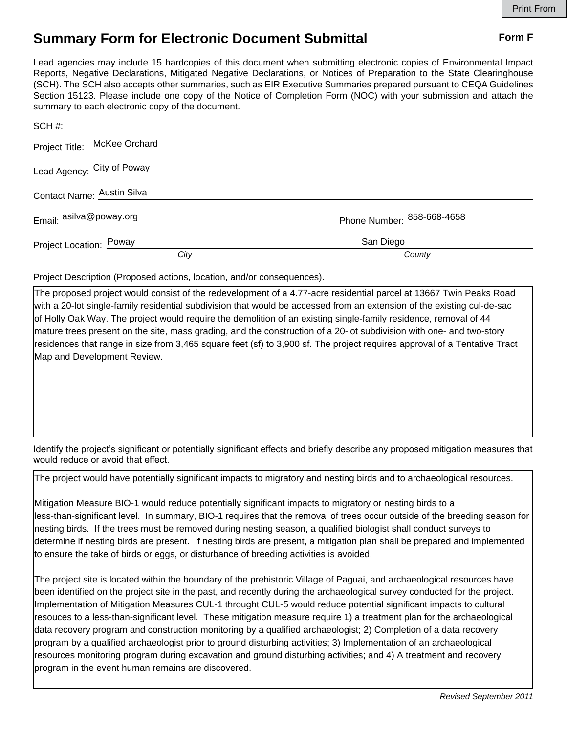## **Summary Form for Electronic Document Submittal Form F Form F**

Lead agencies may include 15 hardcopies of this document when submitting electronic copies of Environmental Impact Reports, Negative Declarations, Mitigated Negative Declarations, or Notices of Preparation to the State Clearinghouse (SCH). The SCH also accepts other summaries, such as EIR Executive Summaries prepared pursuant to CEQA Guidelines Section 15123. Please include one copy of the Notice of Completion Form (NOC) with your submission and attach the summary to each electronic copy of the document.

| SCH #:                       |                            |
|------------------------------|----------------------------|
| Project Title: McKee Orchard |                            |
| Lead Agency: City of Poway   |                            |
| Contact Name: Austin Silva   |                            |
| Email: asilva@poway.org      | Phone Number: 858-668-4658 |
| Project Location: Poway      | San Diego                  |
| City                         | County                     |

Project Description (Proposed actions, location, and/or consequences).

The proposed project would consist of the redevelopment of a 4.77-acre residential parcel at 13667 Twin Peaks Road with a 20-lot single-family residential subdivision that would be accessed from an extension of the existing cul-de-sac of Holly Oak Way. The project would require the demolition of an existing single-family residence, removal of 44 mature trees present on the site, mass grading, and the construction of a 20-lot subdivision with one- and two-story residences that range in size from 3,465 square feet (sf) to 3,900 sf. The project requires approval of a Tentative Tract Map and Development Review.

Identify the project's significant or potentially significant effects and briefly describe any proposed mitigation measures that would reduce or avoid that effect.

The project would have potentially significant impacts to migratory and nesting birds and to archaeological resources.

Mitigation Measure BIO-1 would reduce potentially significant impacts to migratory or nesting birds to a less-than-significant level. In summary, BIO-1 requires that the removal of trees occur outside of the breeding season for nesting birds. If the trees must be removed during nesting season, a qualified biologist shall conduct surveys to determine if nesting birds are present. If nesting birds are present, a mitigation plan shall be prepared and implemented to ensure the take of birds or eggs, or disturbance of breeding activities is avoided.

The project site is located within the boundary of the prehistoric Village of Paguai, and archaeological resources have been identified on the project site in the past, and recently during the archaeological survey conducted for the project. Implementation of Mitigation Measures CUL-1 throught CUL-5 would reduce potential significant impacts to cultural resouces to a less-than-significant level. These mitigation measure require 1) a treatment plan for the archaeological data recovery program and construction monitoring by a qualified archaeologist; 2) Completion of a data recovery program by a qualified archaeologist prior to ground disturbing activities; 3) Implementation of an archaeological resources monitoring program during excavation and ground disturbing activities; and 4) A treatment and recovery program in the event human remains are discovered.